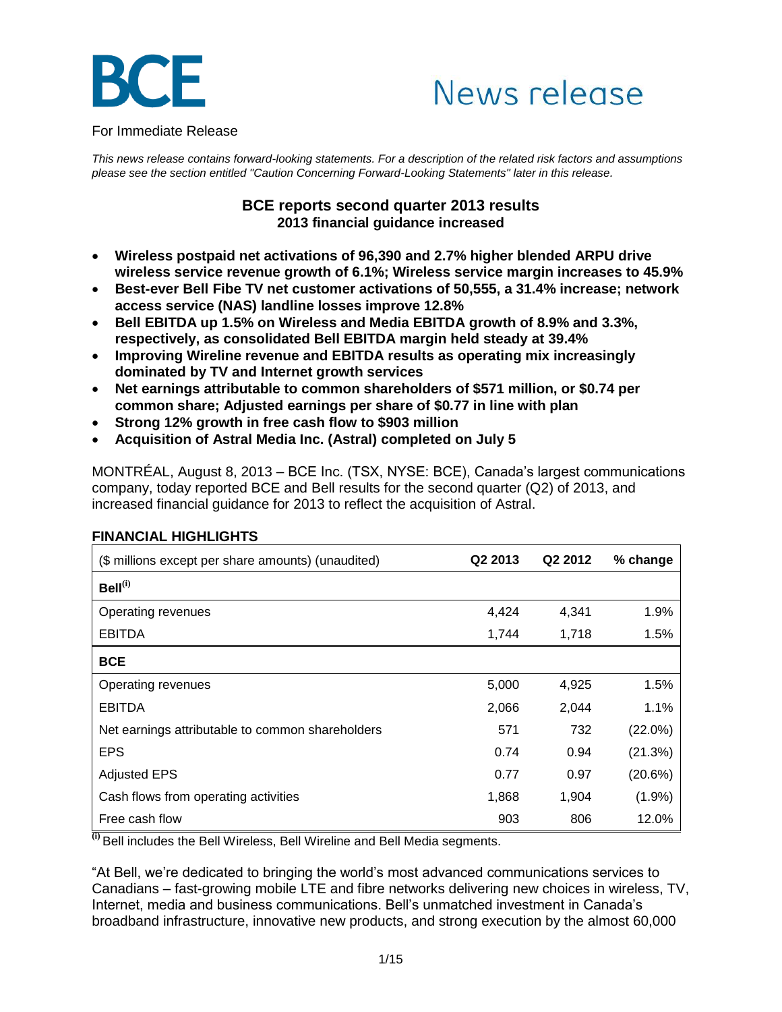



#### For Immediate Release

*This news release contains forward-looking statements. For a description of the related risk factors and assumptions please see the section entitled "Caution Concerning Forward-Looking Statements" later in this release.*

### **BCE reports second quarter 2013 results 2013 financial guidance increased**

- **Wireless postpaid net activations of 96,390 and 2.7% higher blended ARPU drive wireless service revenue growth of 6.1%; Wireless service margin increases to 45.9%**
- **Best-ever Bell Fibe TV net customer activations of 50,555, a 31.4% increase; network access service (NAS) landline losses improve 12.8%**
- **Bell EBITDA up 1.5% on Wireless and Media EBITDA growth of 8.9% and 3.3%, respectively, as consolidated Bell EBITDA margin held steady at 39.4%**
- **Improving Wireline revenue and EBITDA results as operating mix increasingly dominated by TV and Internet growth services**
- **Net earnings attributable to common shareholders of \$571 million, or \$0.74 per common share; Adjusted earnings per share of \$0.77 in line with plan**
- **Strong 12% growth in free cash flow to \$903 million**
- **Acquisition of Astral Media Inc. (Astral) completed on July 5**

MONTRÉAL, August 8, 2013 – BCE Inc. (TSX, NYSE: BCE), Canada's largest communications company, today reported BCE and Bell results for the second quarter (Q2) of 2013, and increased financial guidance for 2013 to reflect the acquisition of Astral.

| (\$ millions except per share amounts) (unaudited) | Q2 2013 | Q2 2012 | % change   |
|----------------------------------------------------|---------|---------|------------|
| $Bell^{(i)}$                                       |         |         |            |
| Operating revenues                                 | 4,424   | 4,341   | 1.9%       |
| <b>EBITDA</b>                                      | 1,744   | 1,718   | 1.5%       |
| <b>BCE</b>                                         |         |         |            |
| Operating revenues                                 | 5,000   | 4,925   | 1.5%       |
| <b>EBITDA</b>                                      | 2,066   | 2,044   | 1.1%       |
| Net earnings attributable to common shareholders   | 571     | 732     | $(22.0\%)$ |
| <b>EPS</b>                                         | 0.74    | 0.94    | (21.3%)    |
| <b>Adjusted EPS</b>                                | 0.77    | 0.97    | (20.6%)    |
| Cash flows from operating activities               | 1,868   | 1,904   | (1.9%)     |
| Free cash flow                                     | 903     | 806     | 12.0%      |

## **FINANCIAL HIGHLIGHTS**

**(i)** Bell includes the Bell Wireless, Bell Wireline and Bell Media segments.

"At Bell, we're dedicated to bringing the world's most advanced communications services to Canadians – fast-growing mobile LTE and fibre networks delivering new choices in wireless, TV, Internet, media and business communications. Bell's unmatched investment in Canada's broadband infrastructure, innovative new products, and strong execution by the almost 60,000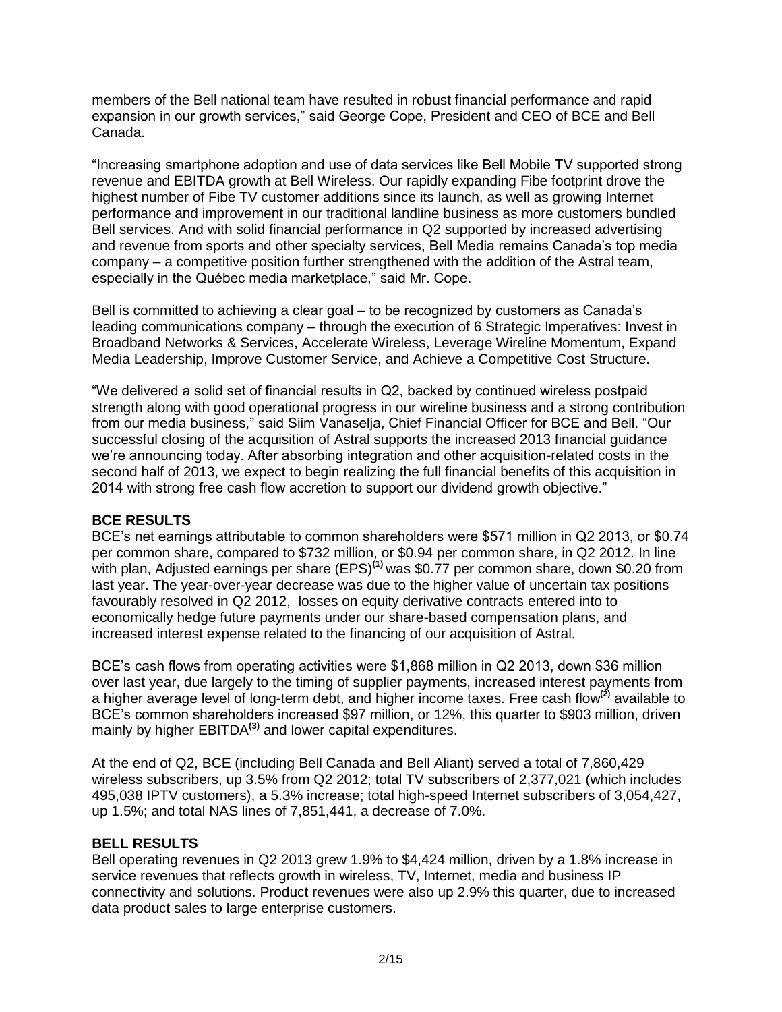members of the Bell national team have resulted in robust financial performance and rapid expansion in our growth services," said George Cope, President and CEO of BCE and Bell Canada.

"Increasing smartphone adoption and use of data services like Bell Mobile TV supported strong revenue and EBITDA growth at Bell Wireless. Our rapidly expanding Fibe footprint drove the highest number of Fibe TV customer additions since its launch, as well as growing Internet performance and improvement in our traditional landline business as more customers bundled Bell services. And with solid financial performance in Q2 supported by increased advertising and revenue from sports and other specialty services, Bell Media remains Canada's top media company – a competitive position further strengthened with the addition of the Astral team, especially in the Québec media marketplace," said Mr. Cope.

Bell is committed to achieving a clear goal – to be recognized by customers as Canada's leading communications company – through the execution of 6 Strategic Imperatives: Invest in Broadband Networks & Services, Accelerate Wireless, Leverage Wireline Momentum, Expand Media Leadership, Improve Customer Service, and Achieve a Competitive Cost Structure.

"We delivered a solid set of financial results in Q2, backed by continued wireless postpaid strength along with good operational progress in our wireline business and a strong contribution from our media business," said Siim Vanaselja, Chief Financial Officer for BCE and Bell. "Our successful closing of the acquisition of Astral supports the increased 2013 financial guidance we're announcing today. After absorbing integration and other acquisition-related costs in the second half of 2013, we expect to begin realizing the full financial benefits of this acquisition in 2014 with strong free cash flow accretion to support our dividend growth objective."

## **BCE RESULTS**

BCE's net earnings attributable to common shareholders were \$571 million in Q2 2013, or \$0.74 per common share, compared to \$732 million, or \$0.94 per common share, in Q2 2012. In line with plan, Adjusted earnings per share (EPS)**(1)** was \$0.77 per common share, down \$0.20 from last year. The year-over-year decrease was due to the higher value of uncertain tax positions favourably resolved in Q2 2012, losses on equity derivative contracts entered into to economically hedge future payments under our share-based compensation plans, and increased interest expense related to the financing of our acquisition of Astral.

BCE's cash flows from operating activities were \$1,868 million in Q2 2013, down \$36 million over last year, due largely to the timing of supplier payments, increased interest payments from a higher average level of long-term debt, and higher income taxes. Free cash flow**(2)** available to BCE's common shareholders increased \$97 million, or 12%, this quarter to \$903 million, driven mainly by higher EBITDA**(3)** and lower capital expenditures.

At the end of Q2, BCE (including Bell Canada and Bell Aliant) served a total of 7,860,429 wireless subscribers, up 3.5% from Q2 2012; total TV subscribers of 2,377,021 (which includes 495,038 IPTV customers), a 5.3% increase; total high-speed Internet subscribers of 3,054,427, up 1.5%; and total NAS lines of 7,851,441, a decrease of 7.0%.

### **BELL RESULTS**

Bell operating revenues in Q2 2013 grew 1.9% to \$4,424 million, driven by a 1.8% increase in service revenues that reflects growth in wireless, TV, Internet, media and business IP connectivity and solutions. Product revenues were also up 2.9% this quarter, due to increased data product sales to large enterprise customers.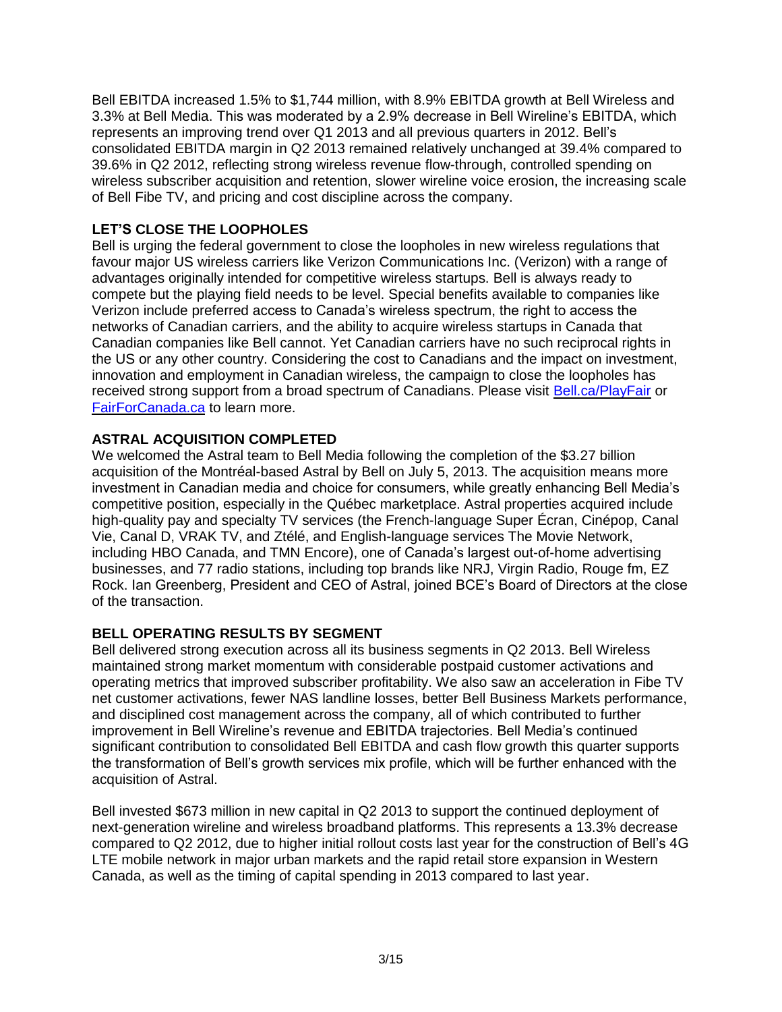Bell EBITDA increased 1.5% to \$1,744 million, with 8.9% EBITDA growth at Bell Wireless and 3.3% at Bell Media. This was moderated by a 2.9% decrease in Bell Wireline's EBITDA, which represents an improving trend over Q1 2013 and all previous quarters in 2012. Bell's consolidated EBITDA margin in Q2 2013 remained relatively unchanged at 39.4% compared to 39.6% in Q2 2012, reflecting strong wireless revenue flow-through, controlled spending on wireless subscriber acquisition and retention, slower wireline voice erosion, the increasing scale of Bell Fibe TV, and pricing and cost discipline across the company.

# **LET'S CLOSE THE LOOPHOLES**

Bell is urging the federal government to close the loopholes in new wireless regulations that favour major US wireless carriers like Verizon Communications Inc. (Verizon) with a range of advantages originally intended for competitive wireless startups. Bell is always ready to compete but the playing field needs to be level. Special benefits available to companies like Verizon include preferred access to Canada's wireless spectrum, the right to access the networks of Canadian carriers, and the ability to acquire wireless startups in Canada that Canadian companies like Bell cannot. Yet Canadian carriers have no such reciprocal rights in the US or any other country. Considering the cost to Canadians and the impact on investment, innovation and employment in Canadian wireless, the campaign to close the loopholes has received strong support from a broad spectrum of Canadians. Please visit [Bell.ca/PlayFair](http://www.bell.ca/PlayFair) or [FairForCanada.ca](http://www.fairforcanada.ca/) to learn more.

## **ASTRAL ACQUISITION COMPLETED**

We welcomed the Astral team to Bell Media following the completion of the \$3.27 billion acquisition of the Montréal-based Astral by Bell on July 5, 2013. The acquisition means more investment in Canadian media and choice for consumers, while greatly enhancing Bell Media's competitive position, especially in the Québec marketplace. Astral properties acquired include high-quality pay and specialty TV services (the French-language Super Écran, Cinépop, Canal Vie, Canal D, VRAK TV, and Ztélé, and English-language services The Movie Network, including HBO Canada, and TMN Encore), one of Canada's largest out-of-home advertising businesses, and 77 radio stations, including top brands like NRJ, Virgin Radio, Rouge fm, EZ Rock. Ian Greenberg, President and CEO of Astral, joined BCE's Board of Directors at the close of the transaction.

## **BELL OPERATING RESULTS BY SEGMENT**

Bell delivered strong execution across all its business segments in Q2 2013. Bell Wireless maintained strong market momentum with considerable postpaid customer activations and operating metrics that improved subscriber profitability. We also saw an acceleration in Fibe TV net customer activations, fewer NAS landline losses, better Bell Business Markets performance, and disciplined cost management across the company, all of which contributed to further improvement in Bell Wireline's revenue and EBITDA trajectories. Bell Media's continued significant contribution to consolidated Bell EBITDA and cash flow growth this quarter supports the transformation of Bell's growth services mix profile, which will be further enhanced with the acquisition of Astral.

Bell invested \$673 million in new capital in Q2 2013 to support the continued deployment of next-generation wireline and wireless broadband platforms. This represents a 13.3% decrease compared to Q2 2012, due to higher initial rollout costs last year for the construction of Bell's 4G LTE mobile network in major urban markets and the rapid retail store expansion in Western Canada, as well as the timing of capital spending in 2013 compared to last year.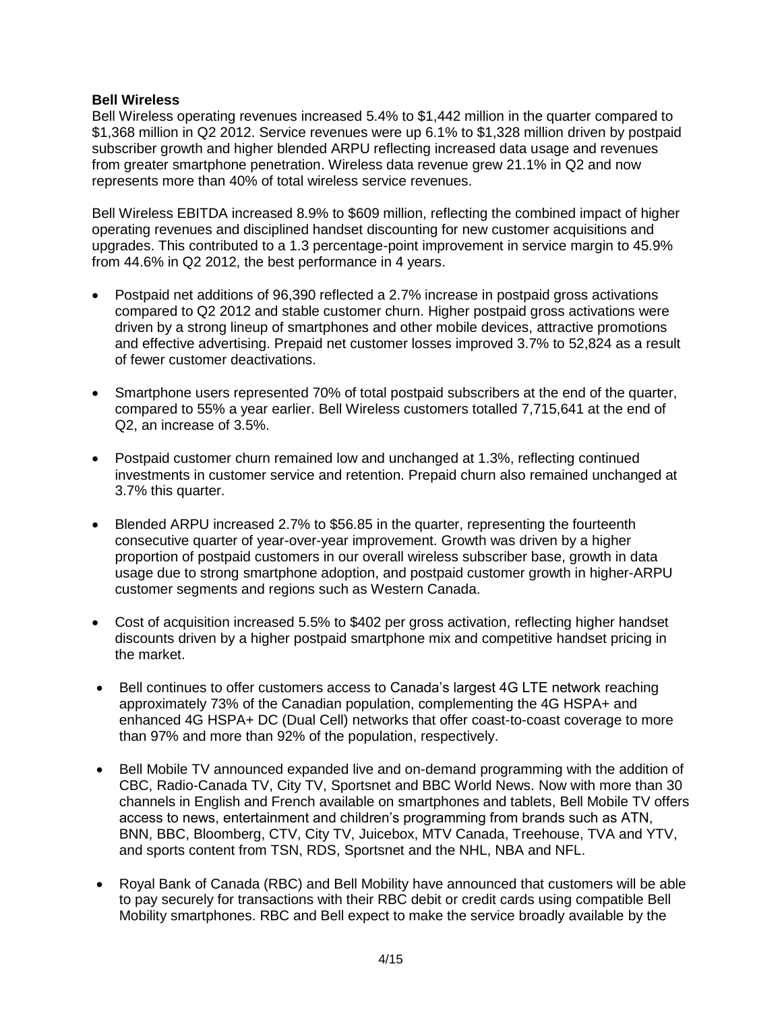### **Bell Wireless**

Bell Wireless operating revenues increased 5.4% to \$1,442 million in the quarter compared to \$1,368 million in Q2 2012. Service revenues were up 6.1% to \$1,328 million driven by postpaid subscriber growth and higher blended ARPU reflecting increased data usage and revenues from greater smartphone penetration. Wireless data revenue grew 21.1% in Q2 and now represents more than 40% of total wireless service revenues.

Bell Wireless EBITDA increased 8.9% to \$609 million, reflecting the combined impact of higher operating revenues and disciplined handset discounting for new customer acquisitions and upgrades. This contributed to a 1.3 percentage-point improvement in service margin to 45.9% from 44.6% in Q2 2012, the best performance in 4 years.

- Postpaid net additions of 96,390 reflected a 2.7% increase in postpaid gross activations compared to Q2 2012 and stable customer churn. Higher postpaid gross activations were driven by a strong lineup of smartphones and other mobile devices, attractive promotions and effective advertising. Prepaid net customer losses improved 3.7% to 52,824 as a result of fewer customer deactivations.
- Smartphone users represented 70% of total postpaid subscribers at the end of the quarter, compared to 55% a year earlier. Bell Wireless customers totalled 7,715,641 at the end of Q2, an increase of 3.5%.
- Postpaid customer churn remained low and unchanged at 1.3%, reflecting continued investments in customer service and retention. Prepaid churn also remained unchanged at 3.7% this quarter.
- Blended ARPU increased 2.7% to \$56.85 in the quarter, representing the fourteenth consecutive quarter of year-over-year improvement. Growth was driven by a higher proportion of postpaid customers in our overall wireless subscriber base, growth in data usage due to strong smartphone adoption, and postpaid customer growth in higher-ARPU customer segments and regions such as Western Canada.
- Cost of acquisition increased 5.5% to \$402 per gross activation, reflecting higher handset discounts driven by a higher postpaid smartphone mix and competitive handset pricing in the market.
- Bell continues to offer customers access to Canada's largest 4G LTE network reaching approximately 73% of the Canadian population, complementing the 4G HSPA+ and enhanced 4G HSPA+ DC (Dual Cell) networks that offer coast-to-coast coverage to more than 97% and more than 92% of the population, respectively.
- Bell Mobile TV announced expanded live and on-demand programming with the addition of CBC, Radio-Canada TV, City TV, Sportsnet and BBC World News. Now with more than 30 channels in English and French available on smartphones and tablets, Bell Mobile TV offers access to news, entertainment and children's programming from brands such as ATN, BNN, BBC, Bloomberg, CTV, City TV, Juicebox, MTV Canada, Treehouse, TVA and YTV, and sports content from TSN, RDS, Sportsnet and the NHL, NBA and NFL.
- Royal Bank of Canada (RBC) and Bell Mobility have announced that customers will be able to pay securely for transactions with their RBC debit or credit cards using compatible Bell Mobility smartphones. RBC and Bell expect to make the service broadly available by the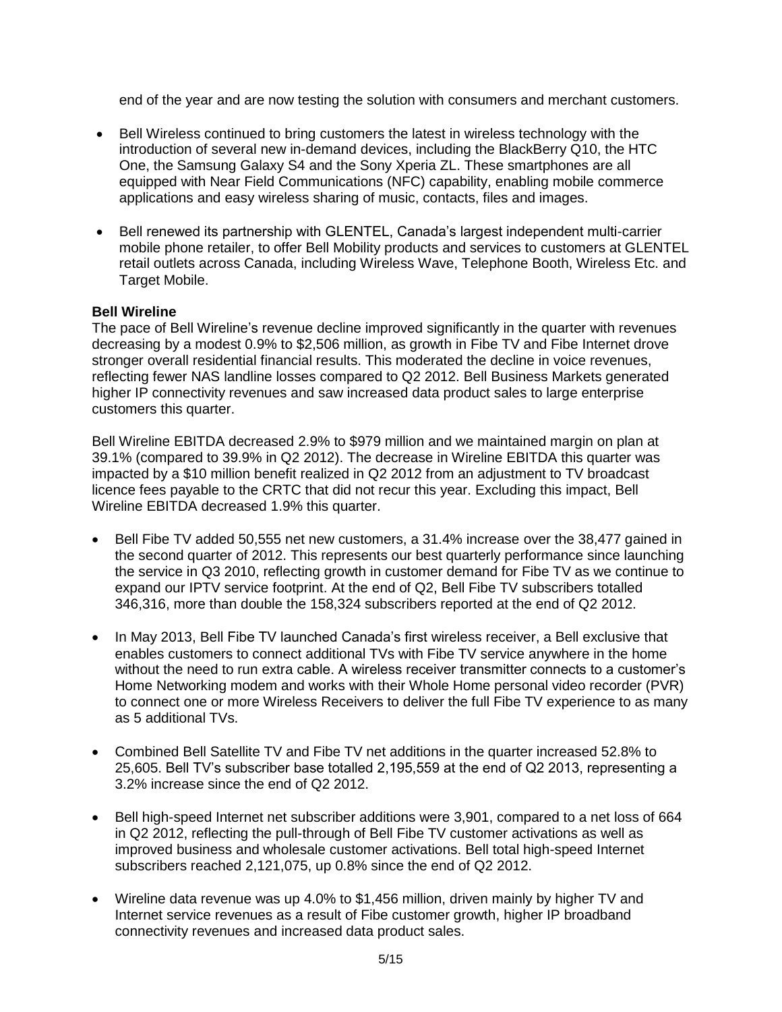end of the year and are now testing the solution with consumers and merchant customers.

- Bell Wireless continued to bring customers the latest in wireless technology with the introduction of several new in-demand devices, including the BlackBerry Q10, the HTC One, the Samsung Galaxy S4 and the Sony Xperia ZL. These smartphones are all equipped with Near Field Communications (NFC) capability, enabling mobile commerce applications and easy wireless sharing of music, contacts, files and images.
- Bell renewed its partnership with GLENTEL, Canada's largest independent multi-carrier mobile phone retailer, to offer Bell Mobility products and services to customers at GLENTEL retail outlets across Canada, including Wireless Wave, Telephone Booth, Wireless Etc. and **Target Mobile.**

### **Bell Wireline**

The pace of Bell Wireline's revenue decline improved significantly in the quarter with revenues decreasing by a modest 0.9% to \$2,506 million, as growth in Fibe TV and Fibe Internet drove stronger overall residential financial results. This moderated the decline in voice revenues, reflecting fewer NAS landline losses compared to Q2 2012. Bell Business Markets generated higher IP connectivity revenues and saw increased data product sales to large enterprise customers this quarter.

Bell Wireline EBITDA decreased 2.9% to \$979 million and we maintained margin on plan at 39.1% (compared to 39.9% in Q2 2012). The decrease in Wireline EBITDA this quarter was impacted by a \$10 million benefit realized in Q2 2012 from an adjustment to TV broadcast licence fees payable to the CRTC that did not recur this year. Excluding this impact, Bell Wireline EBITDA decreased 1.9% this quarter.

- Bell Fibe TV added 50,555 net new customers, a 31.4% increase over the 38,477 gained in the second quarter of 2012. This represents our best quarterly performance since launching the service in Q3 2010, reflecting growth in customer demand for Fibe TV as we continue to expand our IPTV service footprint. At the end of Q2, Bell Fibe TV subscribers totalled 346,316, more than double the 158,324 subscribers reported at the end of Q2 2012.
- In May 2013, Bell Fibe TV launched Canada's first wireless receiver, a Bell exclusive that enables customers to connect additional TVs with Fibe TV service anywhere in the home without the need to run extra cable. A wireless receiver transmitter connects to a customer's Home Networking modem and works with their Whole Home personal video recorder (PVR) to connect one or more Wireless Receivers to deliver the full Fibe TV experience to as many as 5 additional TVs.
- Combined Bell Satellite TV and Fibe TV net additions in the quarter increased 52.8% to 25,605. Bell TV's subscriber base totalled 2,195,559 at the end of Q2 2013, representing a 3.2% increase since the end of Q2 2012.
- Bell high-speed Internet net subscriber additions were 3,901, compared to a net loss of 664 in Q2 2012, reflecting the pull-through of Bell Fibe TV customer activations as well as improved business and wholesale customer activations. Bell total high-speed Internet subscribers reached 2,121,075, up 0.8% since the end of Q2 2012.
- Wireline data revenue was up 4.0% to \$1,456 million, driven mainly by higher TV and Internet service revenues as a result of Fibe customer growth, higher IP broadband connectivity revenues and increased data product sales.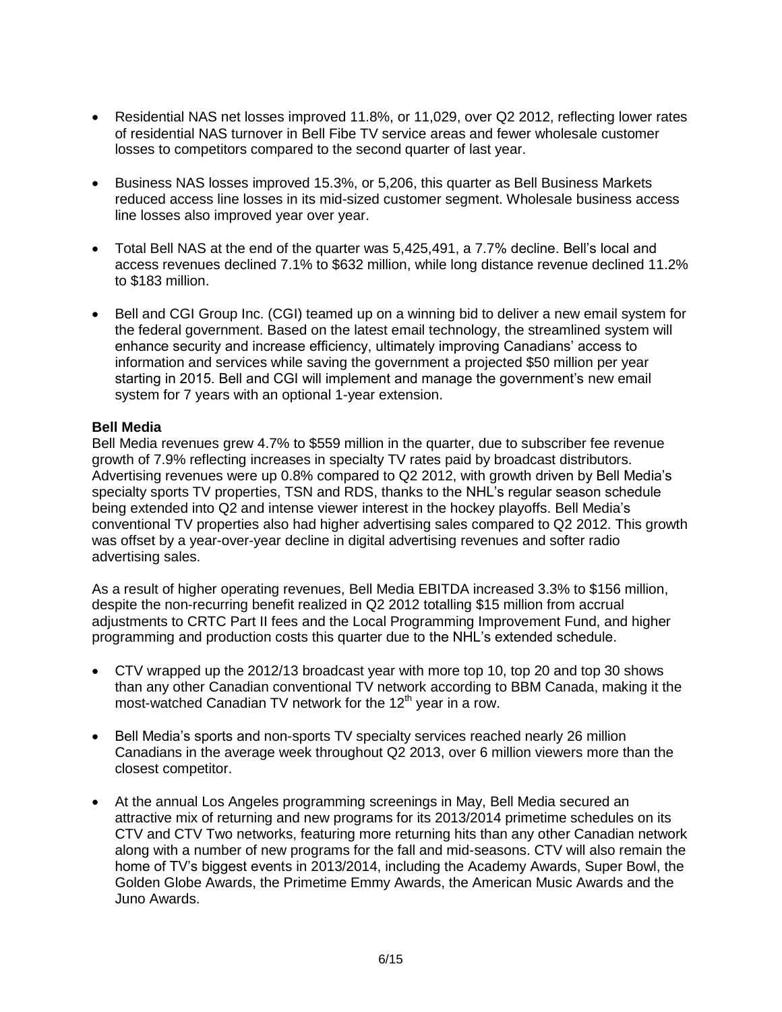- Residential NAS net losses improved 11.8%, or 11,029, over Q2 2012, reflecting lower rates of residential NAS turnover in Bell Fibe TV service areas and fewer wholesale customer losses to competitors compared to the second quarter of last year.
- Business NAS losses improved 15.3%, or 5,206, this quarter as Bell Business Markets reduced access line losses in its mid-sized customer segment. Wholesale business access line losses also improved year over year.
- Total Bell NAS at the end of the quarter was 5,425,491, a 7.7% decline. Bell's local and access revenues declined 7.1% to \$632 million, while long distance revenue declined 11.2% to \$183 million.
- Bell and CGI Group Inc. (CGI) teamed up on a winning bid to deliver a new email system for the federal government. Based on the latest email technology, the streamlined system will enhance security and increase efficiency, ultimately improving Canadians' access to information and services while saving the government a projected \$50 million per year starting in 2015. Bell and CGI will implement and manage the government's new email system for 7 years with an optional 1-year extension.

### **Bell Media**

Bell Media revenues grew 4.7% to \$559 million in the quarter, due to subscriber fee revenue growth of 7.9% reflecting increases in specialty TV rates paid by broadcast distributors. Advertising revenues were up 0.8% compared to Q2 2012, with growth driven by Bell Media's specialty sports TV properties, TSN and RDS, thanks to the NHL's regular season schedule being extended into Q2 and intense viewer interest in the hockey playoffs. Bell Media's conventional TV properties also had higher advertising sales compared to Q2 2012. This growth was offset by a year-over-year decline in digital advertising revenues and softer radio advertising sales.

As a result of higher operating revenues, Bell Media EBITDA increased 3.3% to \$156 million, despite the non-recurring benefit realized in Q2 2012 totalling \$15 million from accrual adjustments to CRTC Part II fees and the Local Programming Improvement Fund, and higher programming and production costs this quarter due to the NHL's extended schedule.

- CTV wrapped up the 2012/13 broadcast year with more top 10, top 20 and top 30 shows than any other Canadian conventional TV network according to BBM Canada, making it the most-watched Canadian TV network for the  $12<sup>th</sup>$  year in a row.
- Bell Media's sports and non-sports TV specialty services reached nearly 26 million Canadians in the average week throughout Q2 2013, over 6 million viewers more than the closest competitor.
- At the annual Los Angeles programming screenings in May, Bell Media secured an attractive mix of returning and new programs for its 2013/2014 primetime schedules on its CTV and CTV Two networks, featuring more returning hits than any other Canadian network along with a number of new programs for the fall and mid-seasons. CTV will also remain the home of TV's biggest events in 2013/2014, including the Academy Awards, Super Bowl, the Golden Globe Awards, the Primetime Emmy Awards, the American Music Awards and the Juno Awards.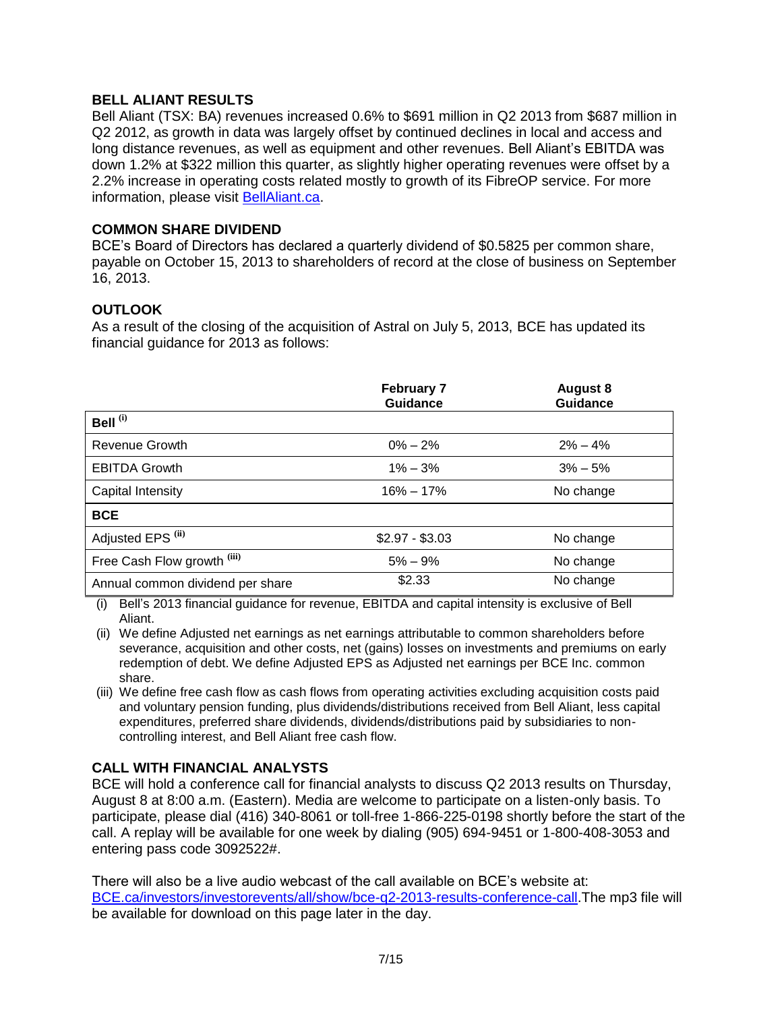### **BELL ALIANT RESULTS**

Bell Aliant (TSX: BA) revenues increased 0.6% to \$691 million in Q2 2013 from \$687 million in Q2 2012, as growth in data was largely offset by continued declines in local and access and long distance revenues, as well as equipment and other revenues. Bell Aliant's EBITDA was down 1.2% at \$322 million this quarter, as slightly higher operating revenues were offset by a 2.2% increase in operating costs related mostly to growth of its FibreOP service. For more information, please visit [BellAliant.ca.](http://www.bellaliant.ca/)

### **COMMON SHARE DIVIDEND**

BCE's Board of Directors has declared a quarterly dividend of \$0.5825 per common share, payable on October 15, 2013 to shareholders of record at the close of business on September 16, 2013.

### **OUTLOOK**

As a result of the closing of the acquisition of Astral on July 5, 2013, BCE has updated its financial guidance for 2013 as follows:

|                                  | <b>February 7</b><br>Guidance | <b>August 8</b><br>Guidance |
|----------------------------------|-------------------------------|-----------------------------|
| Bell <sup>(i)</sup>              |                               |                             |
| Revenue Growth                   | $0\% - 2\%$                   | $2\% - 4\%$                 |
| <b>EBITDA Growth</b>             | $1\% - 3\%$                   | $3\% - 5\%$                 |
| Capital Intensity                | $16\% - 17\%$                 | No change                   |
| <b>BCE</b>                       |                               |                             |
| Adjusted EPS <sup>(ii)</sup>     | $$2.97 - $3.03$               | No change                   |
| Free Cash Flow growth (iii)      | $5\% - 9\%$                   | No change                   |
| Annual common dividend per share | \$2.33                        | No change                   |

(i) Bell's 2013 financial guidance for revenue, EBITDA and capital intensity is exclusive of Bell Aliant.

(ii) We define Adjusted net earnings as net earnings attributable to common shareholders before severance, acquisition and other costs, net (gains) losses on investments and premiums on early redemption of debt. We define Adjusted EPS as Adjusted net earnings per BCE Inc. common share.

(iii) We define free cash flow as cash flows from operating activities excluding acquisition costs paid and voluntary pension funding, plus dividends/distributions received from Bell Aliant, less capital expenditures, preferred share dividends, dividends/distributions paid by subsidiaries to noncontrolling interest, and Bell Aliant free cash flow.

### **CALL WITH FINANCIAL ANALYSTS**

BCE will hold a conference call for financial analysts to discuss Q2 2013 results on Thursday, August 8 at 8:00 a.m. (Eastern). Media are welcome to participate on a listen-only basis. To participate, please dial (416) 340-8061 or toll-free 1-866-225-0198 shortly before the start of the call. A replay will be available for one week by dialing (905) 694-9451 or 1-800-408-3053 and entering pass code 3092522#.

There will also be a live audio webcast of the call available on BCE's website at: [BCE.ca/investors/investorevents/all/show/bce-q2-2013-results-conference-call.](http://bce.ca/investors/investorevents/all/show/bce-q1-2013-results-conference-call)The mp3 file will be available for download on this page later in the day.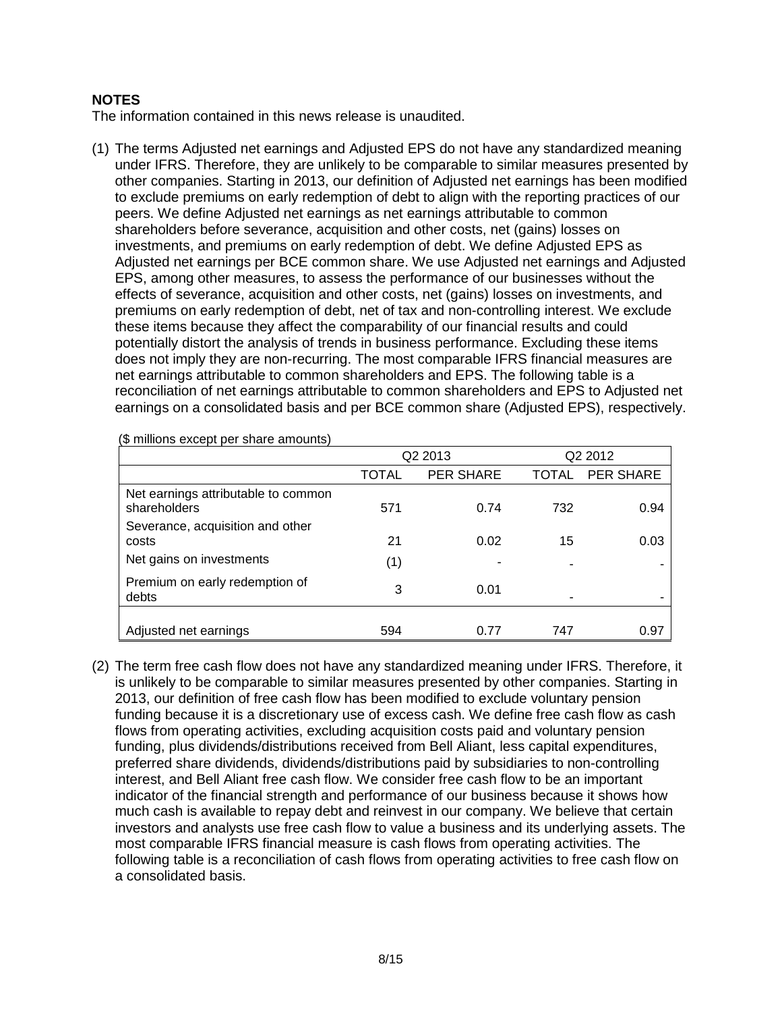## **NOTES**

The information contained in this news release is unaudited.

(1) The terms Adjusted net earnings and Adjusted EPS do not have any standardized meaning under IFRS. Therefore, they are unlikely to be comparable to similar measures presented by other companies. Starting in 2013, our definition of Adjusted net earnings has been modified to exclude premiums on early redemption of debt to align with the reporting practices of our peers. We define Adjusted net earnings as net earnings attributable to common shareholders before severance, acquisition and other costs, net (gains) losses on investments, and premiums on early redemption of debt. We define Adjusted EPS as Adjusted net earnings per BCE common share. We use Adjusted net earnings and Adjusted EPS, among other measures, to assess the performance of our businesses without the effects of severance, acquisition and other costs, net (gains) losses on investments, and premiums on early redemption of debt, net of tax and non-controlling interest. We exclude these items because they affect the comparability of our financial results and could potentially distort the analysis of trends in business performance. Excluding these items does not imply they are non-recurring. The most comparable IFRS financial measures are net earnings attributable to common shareholders and EPS. The following table is a reconciliation of net earnings attributable to common shareholders and EPS to Adjusted net earnings on a consolidated basis and per BCE common share (Adjusted EPS), respectively.

| <b>Q illimotio</b> capcipit por origin announto,    |                     |                  |              |                     |
|-----------------------------------------------------|---------------------|------------------|--------------|---------------------|
|                                                     | Q <sub>2</sub> 2013 |                  |              | Q <sub>2</sub> 2012 |
|                                                     | TOTAL               | <b>PER SHARE</b> | <b>TOTAL</b> | PER SHARE           |
| Net earnings attributable to common<br>shareholders | 571                 | 0.74             | 732          | 0.94                |
| Severance, acquisition and other<br>costs           | 21                  | 0.02             | 15           | 0.03                |
| Net gains on investments                            | (1)                 |                  |              |                     |
| Premium on early redemption of<br>debts             | 3                   | 0.01             |              |                     |
|                                                     |                     |                  |              |                     |
| Adjusted net earnings                               | 594                 | 0.77             | 747          | 0.97                |

(\$ millions except per share amounts)

(2) The term free cash flow does not have any standardized meaning under IFRS. Therefore, it is unlikely to be comparable to similar measures presented by other companies. Starting in 2013, our definition of free cash flow has been modified to exclude voluntary pension funding because it is a discretionary use of excess cash. We define free cash flow as cash flows from operating activities, excluding acquisition costs paid and voluntary pension funding, plus dividends/distributions received from Bell Aliant, less capital expenditures, preferred share dividends, dividends/distributions paid by subsidiaries to non-controlling interest, and Bell Aliant free cash flow. We consider free cash flow to be an important indicator of the financial strength and performance of our business because it shows how much cash is available to repay debt and reinvest in our company. We believe that certain investors and analysts use free cash flow to value a business and its underlying assets. The most comparable IFRS financial measure is cash flows from operating activities. The following table is a reconciliation of cash flows from operating activities to free cash flow on a consolidated basis.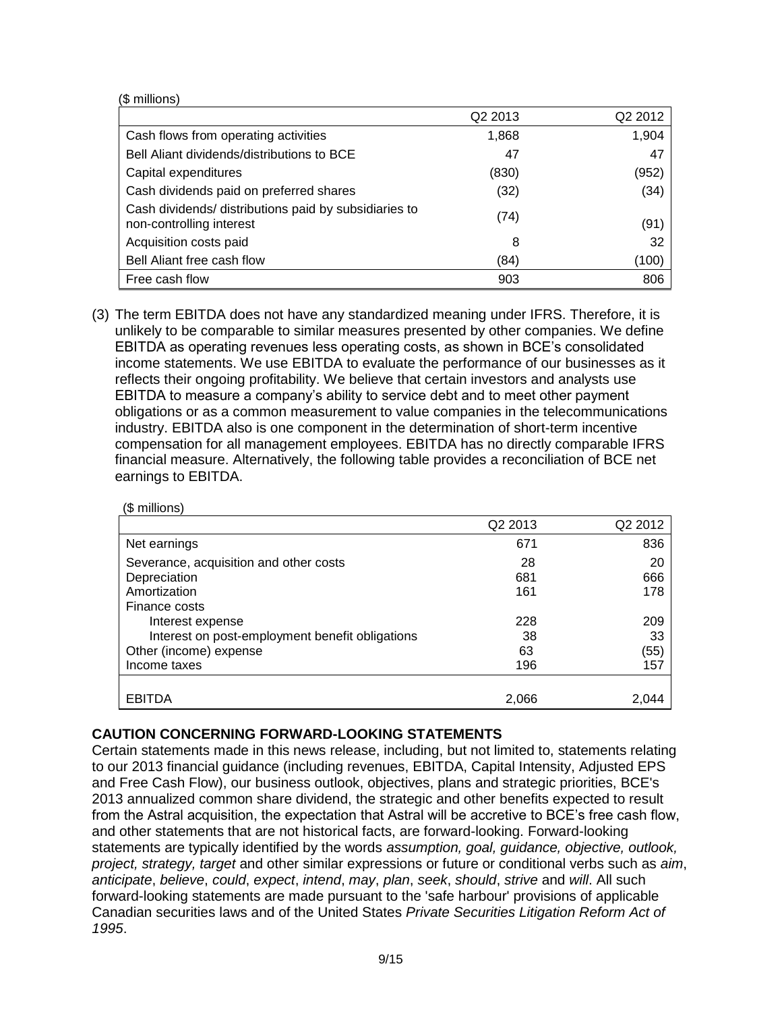(\$ millions)

|                                                                                   | Q <sub>2</sub> 2013 | Q2 2012 |
|-----------------------------------------------------------------------------------|---------------------|---------|
| Cash flows from operating activities                                              | 1,868               | 1,904   |
| Bell Aliant dividends/distributions to BCE                                        | 47                  | 47      |
| Capital expenditures                                                              | (830)               | (952)   |
| Cash dividends paid on preferred shares                                           | (32)                | (34)    |
| Cash dividends/ distributions paid by subsidiaries to<br>non-controlling interest | (74)                | (91)    |
| Acquisition costs paid                                                            | 8                   | 32      |
| Bell Aliant free cash flow                                                        | (84)                | (100)   |
| Free cash flow                                                                    | 903                 | 806     |

(3) The term EBITDA does not have any standardized meaning under IFRS. Therefore, it is unlikely to be comparable to similar measures presented by other companies. We define EBITDA as operating revenues less operating costs, as shown in BCE's consolidated income statements. We use EBITDA to evaluate the performance of our businesses as it reflects their ongoing profitability. We believe that certain investors and analysts use EBITDA to measure a company's ability to service debt and to meet other payment obligations or as a common measurement to value companies in the telecommunications industry. EBITDA also is one component in the determination of short-term incentive compensation for all management employees. EBITDA has no directly comparable IFRS financial measure. Alternatively, the following table provides a reconciliation of BCE net earnings to EBITDA.

| (\$ millions)                                   |         |                     |
|-------------------------------------------------|---------|---------------------|
|                                                 | Q2 2013 | Q <sub>2</sub> 2012 |
| Net earnings                                    | 671     | 836                 |
| Severance, acquisition and other costs          | 28      | 20                  |
| Depreciation                                    | 681     | 666                 |
| Amortization                                    | 161     | 178                 |
| Finance costs                                   |         |                     |
| Interest expense                                | 228     | 209                 |
| Interest on post-employment benefit obligations | 38      | 33                  |
| Other (income) expense                          | 63      | (55)                |
| Income taxes                                    | 196     | 157                 |
|                                                 |         |                     |
| <b>EBITDA</b>                                   | 2,066   | 2.044               |

## **CAUTION CONCERNING FORWARD-LOOKING STATEMENTS**

Certain statements made in this news release, including, but not limited to, statements relating to our 2013 financial guidance (including revenues, EBITDA, Capital Intensity, Adjusted EPS and Free Cash Flow), our business outlook, objectives, plans and strategic priorities, BCE's 2013 annualized common share dividend, the strategic and other benefits expected to result from the Astral acquisition, the expectation that Astral will be accretive to BCE's free cash flow, and other statements that are not historical facts, are forward-looking. Forward-looking statements are typically identified by the words *assumption, goal, guidance, objective, outlook, project, strategy, target* and other similar expressions or future or conditional verbs such as *aim*, *anticipate*, *believe*, *could*, *expect*, *intend*, *may*, *plan*, *seek*, *should*, *strive* and *will*. All such forward-looking statements are made pursuant to the 'safe harbour' provisions of applicable Canadian securities laws and of the United States *Private Securities Litigation Reform Act of 1995*.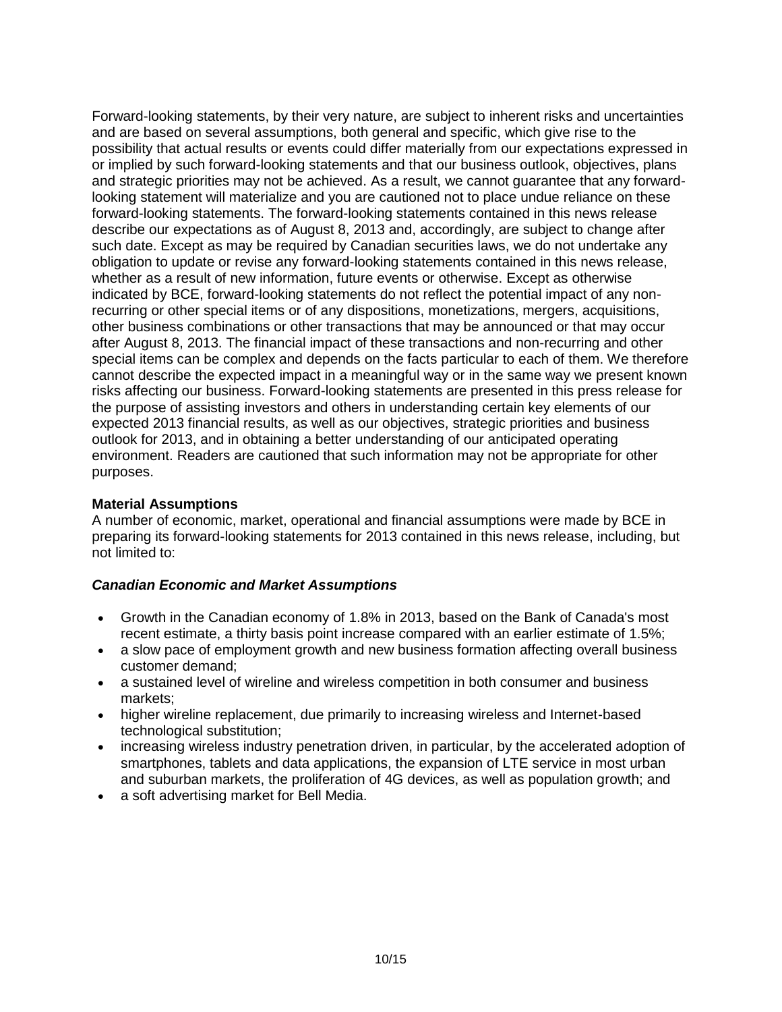Forward-looking statements, by their very nature, are subject to inherent risks and uncertainties and are based on several assumptions, both general and specific, which give rise to the possibility that actual results or events could differ materially from our expectations expressed in or implied by such forward-looking statements and that our business outlook, objectives, plans and strategic priorities may not be achieved. As a result, we cannot guarantee that any forwardlooking statement will materialize and you are cautioned not to place undue reliance on these forward-looking statements. The forward-looking statements contained in this news release describe our expectations as of August 8, 2013 and, accordingly, are subject to change after such date. Except as may be required by Canadian securities laws, we do not undertake any obligation to update or revise any forward-looking statements contained in this news release, whether as a result of new information, future events or otherwise. Except as otherwise indicated by BCE, forward-looking statements do not reflect the potential impact of any nonrecurring or other special items or of any dispositions, monetizations, mergers, acquisitions, other business combinations or other transactions that may be announced or that may occur after August 8, 2013. The financial impact of these transactions and non-recurring and other special items can be complex and depends on the facts particular to each of them. We therefore cannot describe the expected impact in a meaningful way or in the same way we present known risks affecting our business. Forward-looking statements are presented in this press release for the purpose of assisting investors and others in understanding certain key elements of our expected 2013 financial results, as well as our objectives, strategic priorities and business outlook for 2013, and in obtaining a better understanding of our anticipated operating environment. Readers are cautioned that such information may not be appropriate for other purposes.

### **Material Assumptions**

A number of economic, market, operational and financial assumptions were made by BCE in preparing its forward-looking statements for 2013 contained in this news release, including, but not limited to:

### *Canadian Economic and Market Assumptions*

- Growth in the Canadian economy of 1.8% in 2013, based on the Bank of Canada's most recent estimate, a thirty basis point increase compared with an earlier estimate of 1.5%;
- a slow pace of employment growth and new business formation affecting overall business customer demand;
- a sustained level of wireline and wireless competition in both consumer and business markets;
- higher wireline replacement, due primarily to increasing wireless and Internet-based technological substitution;
- increasing wireless industry penetration driven, in particular, by the accelerated adoption of smartphones, tablets and data applications, the expansion of LTE service in most urban and suburban markets, the proliferation of 4G devices, as well as population growth; and
- a soft advertising market for Bell Media.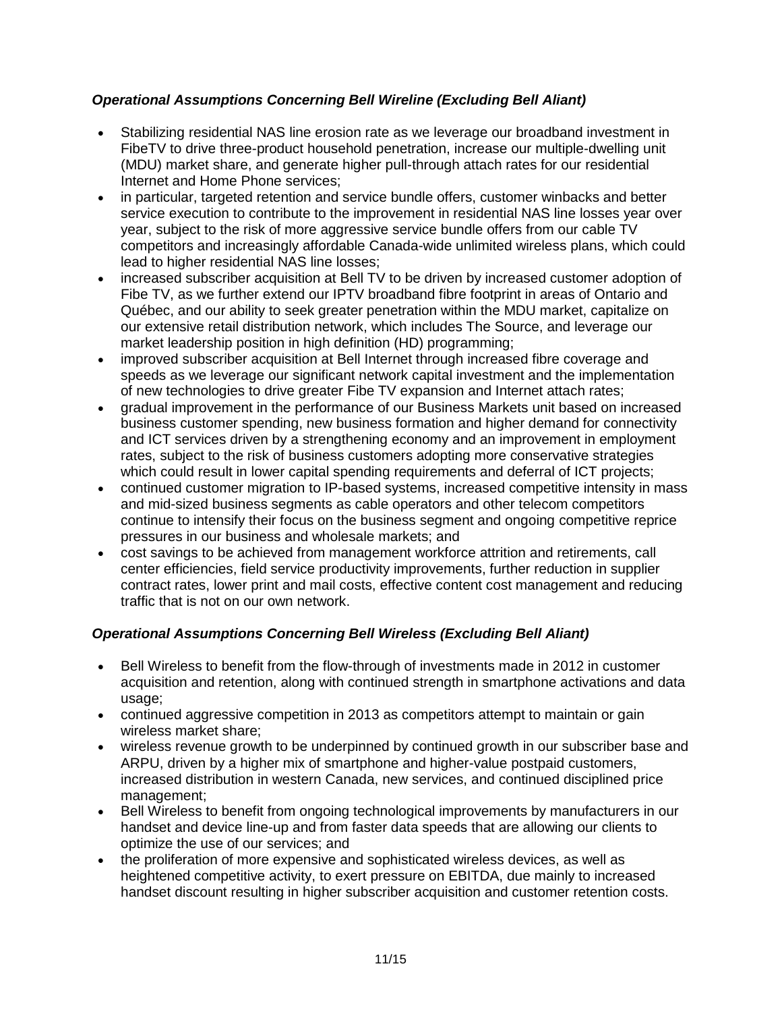# *Operational Assumptions Concerning Bell Wireline (Excluding Bell Aliant)*

- Stabilizing residential NAS line erosion rate as we leverage our broadband investment in FibeTV to drive three-product household penetration, increase our multiple-dwelling unit (MDU) market share, and generate higher pull-through attach rates for our residential Internet and Home Phone services;
- in particular, targeted retention and service bundle offers, customer winbacks and better service execution to contribute to the improvement in residential NAS line losses year over year, subject to the risk of more aggressive service bundle offers from our cable TV competitors and increasingly affordable Canada-wide unlimited wireless plans, which could lead to higher residential NAS line losses;
- increased subscriber acquisition at Bell TV to be driven by increased customer adoption of Fibe TV, as we further extend our IPTV broadband fibre footprint in areas of Ontario and Québec, and our ability to seek greater penetration within the MDU market, capitalize on our extensive retail distribution network, which includes The Source, and leverage our market leadership position in high definition (HD) programming;
- improved subscriber acquisition at Bell Internet through increased fibre coverage and speeds as we leverage our significant network capital investment and the implementation of new technologies to drive greater Fibe TV expansion and Internet attach rates;
- gradual improvement in the performance of our Business Markets unit based on increased business customer spending, new business formation and higher demand for connectivity and ICT services driven by a strengthening economy and an improvement in employment rates, subject to the risk of business customers adopting more conservative strategies which could result in lower capital spending requirements and deferral of ICT projects;
- continued customer migration to IP-based systems, increased competitive intensity in mass and mid-sized business segments as cable operators and other telecom competitors continue to intensify their focus on the business segment and ongoing competitive reprice pressures in our business and wholesale markets; and
- cost savings to be achieved from management workforce attrition and retirements, call center efficiencies, field service productivity improvements, further reduction in supplier contract rates, lower print and mail costs, effective content cost management and reducing traffic that is not on our own network.

## *Operational Assumptions Concerning Bell Wireless (Excluding Bell Aliant)*

- Bell Wireless to benefit from the flow-through of investments made in 2012 in customer acquisition and retention, along with continued strength in smartphone activations and data usage;
- continued aggressive competition in 2013 as competitors attempt to maintain or gain wireless market share;
- wireless revenue growth to be underpinned by continued growth in our subscriber base and ARPU, driven by a higher mix of smartphone and higher-value postpaid customers, increased distribution in western Canada, new services, and continued disciplined price management;
- Bell Wireless to benefit from ongoing technological improvements by manufacturers in our handset and device line-up and from faster data speeds that are allowing our clients to optimize the use of our services; and
- the proliferation of more expensive and sophisticated wireless devices, as well as heightened competitive activity, to exert pressure on EBITDA, due mainly to increased handset discount resulting in higher subscriber acquisition and customer retention costs.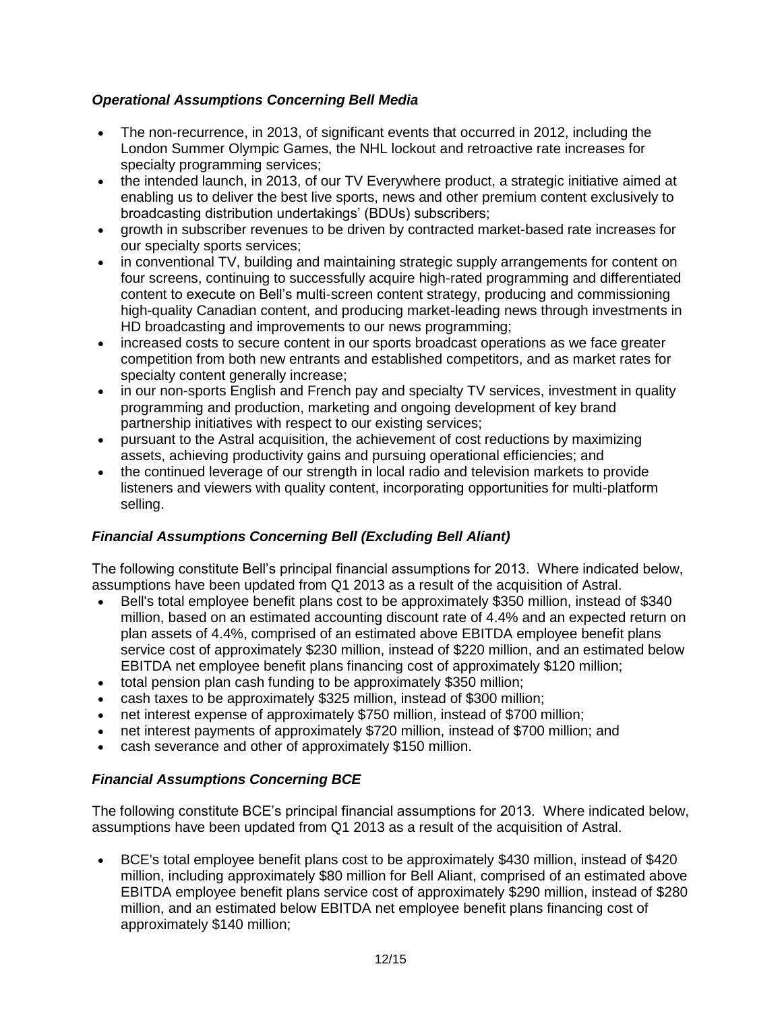## *Operational Assumptions Concerning Bell Media*

- The non-recurrence, in 2013, of significant events that occurred in 2012, including the London Summer Olympic Games, the NHL lockout and retroactive rate increases for specialty programming services;
- the intended launch, in 2013, of our TV Everywhere product, a strategic initiative aimed at enabling us to deliver the best live sports, news and other premium content exclusively to broadcasting distribution undertakings' (BDUs) subscribers;
- growth in subscriber revenues to be driven by contracted market-based rate increases for our specialty sports services;
- in conventional TV, building and maintaining strategic supply arrangements for content on four screens, continuing to successfully acquire high-rated programming and differentiated content to execute on Bell's multi-screen content strategy, producing and commissioning high-quality Canadian content, and producing market-leading news through investments in HD broadcasting and improvements to our news programming;
- increased costs to secure content in our sports broadcast operations as we face greater competition from both new entrants and established competitors, and as market rates for specialty content generally increase;
- in our non-sports English and French pay and specialty TV services, investment in quality programming and production, marketing and ongoing development of key brand partnership initiatives with respect to our existing services;
- pursuant to the Astral acquisition, the achievement of cost reductions by maximizing assets, achieving productivity gains and pursuing operational efficiencies; and
- the continued leverage of our strength in local radio and television markets to provide listeners and viewers with quality content, incorporating opportunities for multi-platform selling.

## *Financial Assumptions Concerning Bell (Excluding Bell Aliant)*

The following constitute Bell's principal financial assumptions for 2013. Where indicated below, assumptions have been updated from Q1 2013 as a result of the acquisition of Astral.

- Bell's total employee benefit plans cost to be approximately \$350 million, instead of \$340 million, based on an estimated accounting discount rate of 4.4% and an expected return on plan assets of 4.4%, comprised of an estimated above EBITDA employee benefit plans service cost of approximately \$230 million, instead of \$220 million, and an estimated below EBITDA net employee benefit plans financing cost of approximately \$120 million;
- total pension plan cash funding to be approximately \$350 million;
- cash taxes to be approximately \$325 million, instead of \$300 million;
- net interest expense of approximately \$750 million, instead of \$700 million;
- net interest payments of approximately \$720 million, instead of \$700 million; and
- cash severance and other of approximately \$150 million.

## *Financial Assumptions Concerning BCE*

The following constitute BCE's principal financial assumptions for 2013. Where indicated below, assumptions have been updated from Q1 2013 as a result of the acquisition of Astral.

 BCE's total employee benefit plans cost to be approximately \$430 million, instead of \$420 million, including approximately \$80 million for Bell Aliant, comprised of an estimated above EBITDA employee benefit plans service cost of approximately \$290 million, instead of \$280 million, and an estimated below EBITDA net employee benefit plans financing cost of approximately \$140 million;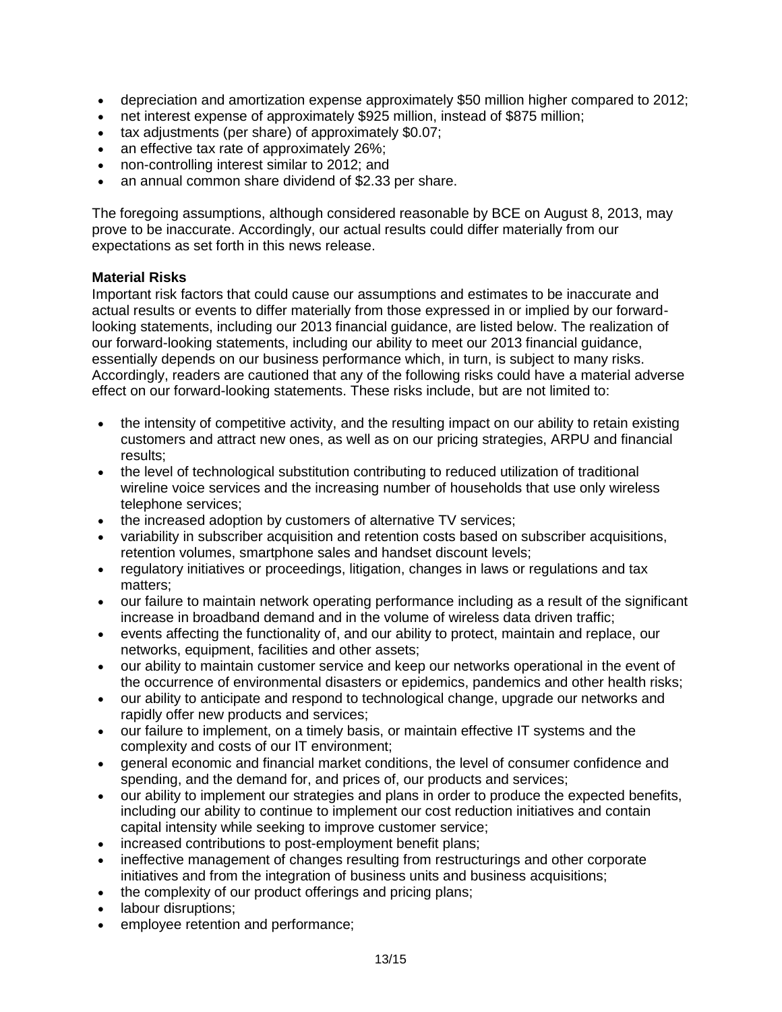- depreciation and amortization expense approximately \$50 million higher compared to 2012;
- net interest expense of approximately \$925 million, instead of \$875 million;
- tax adjustments (per share) of approximately \$0.07;
- an effective tax rate of approximately 26%;
- non-controlling interest similar to 2012; and
- an annual common share dividend of \$2.33 per share.

The foregoing assumptions, although considered reasonable by BCE on August 8, 2013, may prove to be inaccurate. Accordingly, our actual results could differ materially from our expectations as set forth in this news release.

### **Material Risks**

Important risk factors that could cause our assumptions and estimates to be inaccurate and actual results or events to differ materially from those expressed in or implied by our forwardlooking statements, including our 2013 financial guidance, are listed below. The realization of our forward-looking statements, including our ability to meet our 2013 financial guidance, essentially depends on our business performance which, in turn, is subject to many risks. Accordingly, readers are cautioned that any of the following risks could have a material adverse effect on our forward-looking statements. These risks include, but are not limited to:

- the intensity of competitive activity, and the resulting impact on our ability to retain existing customers and attract new ones, as well as on our pricing strategies, ARPU and financial results;
- the level of technological substitution contributing to reduced utilization of traditional wireline voice services and the increasing number of households that use only wireless telephone services;
- the increased adoption by customers of alternative TV services;
- variability in subscriber acquisition and retention costs based on subscriber acquisitions, retention volumes, smartphone sales and handset discount levels;
- regulatory initiatives or proceedings, litigation, changes in laws or regulations and tax matters;
- our failure to maintain network operating performance including as a result of the significant increase in broadband demand and in the volume of wireless data driven traffic;
- events affecting the functionality of, and our ability to protect, maintain and replace, our networks, equipment, facilities and other assets;
- our ability to maintain customer service and keep our networks operational in the event of the occurrence of environmental disasters or epidemics, pandemics and other health risks;
- our ability to anticipate and respond to technological change, upgrade our networks and rapidly offer new products and services;
- our failure to implement, on a timely basis, or maintain effective IT systems and the complexity and costs of our IT environment;
- general economic and financial market conditions, the level of consumer confidence and spending, and the demand for, and prices of, our products and services;
- our ability to implement our strategies and plans in order to produce the expected benefits, including our ability to continue to implement our cost reduction initiatives and contain capital intensity while seeking to improve customer service;
- increased contributions to post-employment benefit plans;
- ineffective management of changes resulting from restructurings and other corporate initiatives and from the integration of business units and business acquisitions;
- the complexity of our product offerings and pricing plans;
- labour disruptions:
- employee retention and performance;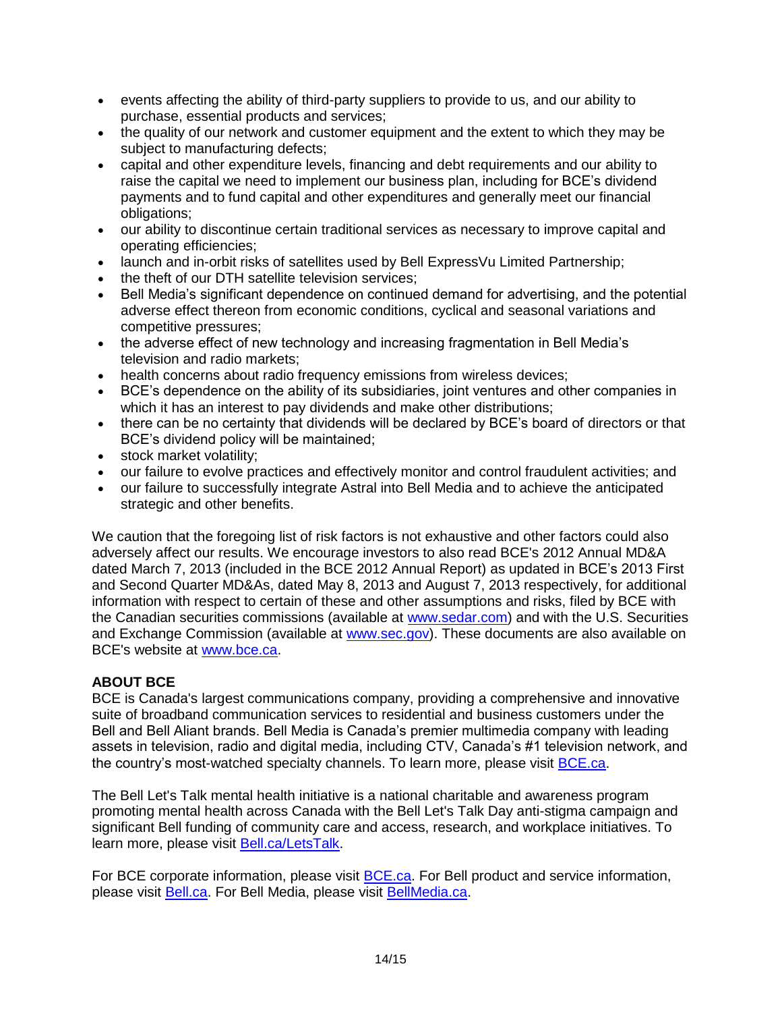- events affecting the ability of third-party suppliers to provide to us, and our ability to purchase, essential products and services;
- the quality of our network and customer equipment and the extent to which they may be subject to manufacturing defects;
- capital and other expenditure levels, financing and debt requirements and our ability to raise the capital we need to implement our business plan, including for BCE's dividend payments and to fund capital and other expenditures and generally meet our financial obligations;
- our ability to discontinue certain traditional services as necessary to improve capital and operating efficiencies;
- launch and in-orbit risks of satellites used by Bell ExpressVu Limited Partnership;
- the theft of our DTH satellite television services;
- Bell Media's significant dependence on continued demand for advertising, and the potential adverse effect thereon from economic conditions, cyclical and seasonal variations and competitive pressures;
- the adverse effect of new technology and increasing fragmentation in Bell Media's television and radio markets;
- health concerns about radio frequency emissions from wireless devices;
- BCE's dependence on the ability of its subsidiaries, joint ventures and other companies in which it has an interest to pay dividends and make other distributions;
- there can be no certainty that dividends will be declared by BCE's board of directors or that BCE's dividend policy will be maintained;
- stock market volatility;
- our failure to evolve practices and effectively monitor and control fraudulent activities; and
- our failure to successfully integrate Astral into Bell Media and to achieve the anticipated strategic and other benefits.

We caution that the foregoing list of risk factors is not exhaustive and other factors could also adversely affect our results. We encourage investors to also read BCE's 2012 Annual MD&A dated March 7, 2013 (included in the BCE 2012 Annual Report) as updated in BCE's 2013 First and Second Quarter MD&As, dated May 8, 2013 and August 7, 2013 respectively, for additional information with respect to certain of these and other assumptions and risks, filed by BCE with the Canadian securities commissions (available at [www.sedar.com\)](http://www.sedar.com/) and with the U.S. Securities and Exchange Commission (available at [www.sec.gov\)](http://www.sec.gov/). These documents are also available on BCE's website at [www.bce.ca.](http://www.bce.ca/)

## **ABOUT BCE**

BCE is Canada's largest communications company, providing a comprehensive and innovative suite of broadband communication services to residential and business customers under the Bell and Bell Aliant brands. Bell Media is Canada's premier multimedia company with leading assets in television, radio and digital media, including CTV, Canada's #1 television network, and the country's most-watched specialty channels. To learn more, please visit [BCE.ca.](http://www.bce.ca/)

The Bell Let's Talk mental health initiative is a national charitable and awareness program promoting mental health across Canada with the Bell Let's Talk Day anti-stigma campaign and significant Bell funding of community care and access, research, and workplace initiatives. To learn more, please visit [Bell.ca/LetsTalk.](http://bell.ca/LetsTalk)

For BCE corporate information, please visit [BCE.ca.](http://bce.ca/) For Bell product and service information, please visit [Bell.ca.](http://bell.ca/) For Bell Media, please visit [BellMedia.ca.](http://bellmedia.ca/)